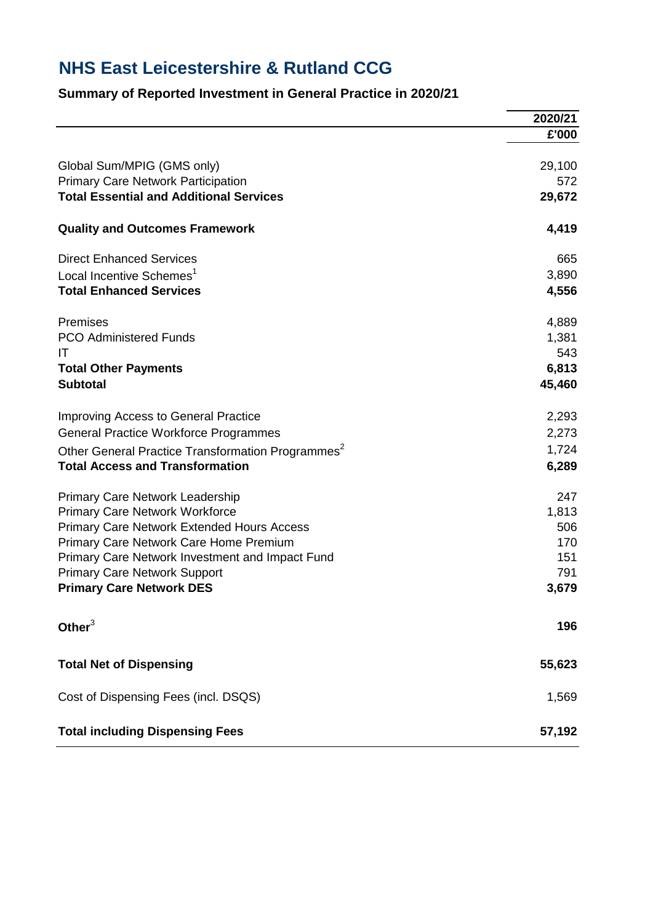## **NHS East Leicestershire & Rutland CCG**

## **Summary of Reported Investment in General Practice in 2020/21**

|                                                               | 2020/21 |
|---------------------------------------------------------------|---------|
|                                                               | £'000   |
|                                                               |         |
| Global Sum/MPIG (GMS only)                                    | 29,100  |
| <b>Primary Care Network Participation</b>                     | 572     |
| <b>Total Essential and Additional Services</b>                | 29,672  |
| <b>Quality and Outcomes Framework</b>                         | 4,419   |
| <b>Direct Enhanced Services</b>                               | 665     |
| Local Incentive Schemes <sup>1</sup>                          | 3,890   |
| <b>Total Enhanced Services</b>                                | 4,556   |
| Premises                                                      | 4,889   |
| <b>PCO Administered Funds</b>                                 | 1,381   |
| ΙT                                                            | 543     |
| <b>Total Other Payments</b>                                   | 6,813   |
| <b>Subtotal</b>                                               | 45,460  |
| Improving Access to General Practice                          | 2,293   |
| <b>General Practice Workforce Programmes</b>                  | 2,273   |
| Other General Practice Transformation Programmes <sup>2</sup> | 1,724   |
| <b>Total Access and Transformation</b>                        | 6,289   |
|                                                               |         |
| <b>Primary Care Network Leadership</b>                        | 247     |
| <b>Primary Care Network Workforce</b>                         | 1,813   |
| <b>Primary Care Network Extended Hours Access</b>             | 506     |
| Primary Care Network Care Home Premium                        | 170     |
| Primary Care Network Investment and Impact Fund               | 151     |
| <b>Primary Care Network Support</b>                           | 791     |
| <b>Primary Care Network DES</b>                               | 3,679   |
| Other $3$                                                     | 196     |
| <b>Total Net of Dispensing</b>                                | 55,623  |
| Cost of Dispensing Fees (incl. DSQS)                          | 1,569   |
| <b>Total including Dispensing Fees</b>                        | 57,192  |